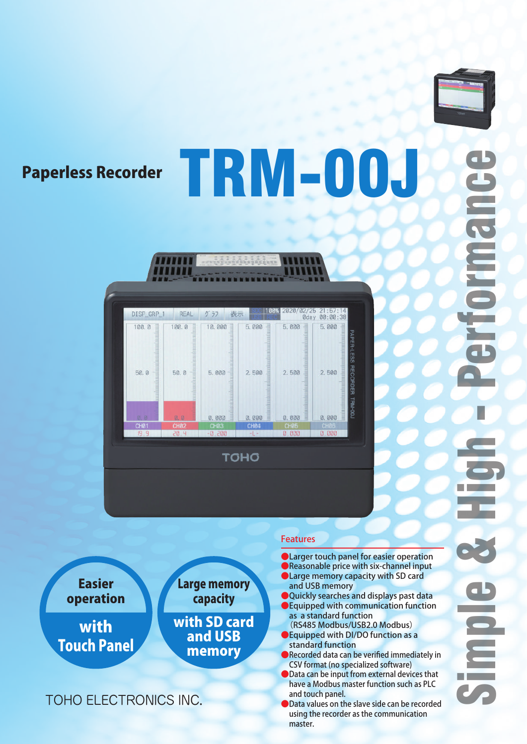

**Deland** 

# Paperless Recorder TRM-00J



,,,,,,,

with Touch Panel Easier operation with SD card and USB memory Large memory capacity

# TOHO ELECTRONICS INC.

### Features

**OLarger touch panel for easier operation** ●Reasonable price with six-channel input

- ●Large memory capacity with SD card and USB memory
- Quickly searches and displays past data
- Equipped with communication function as a standard function (RS485 Modbus/USB2.0 Modbus)
- **B** Equipped with DI/DO function as a standard function
- Recorded data can be verified immediately in CSV format (no specialized software)
- Data can be input from external devices that have a Modbus master function such as PLC and touch panel.
- Data values on the slave side can be recorded using the recorder as the communication master.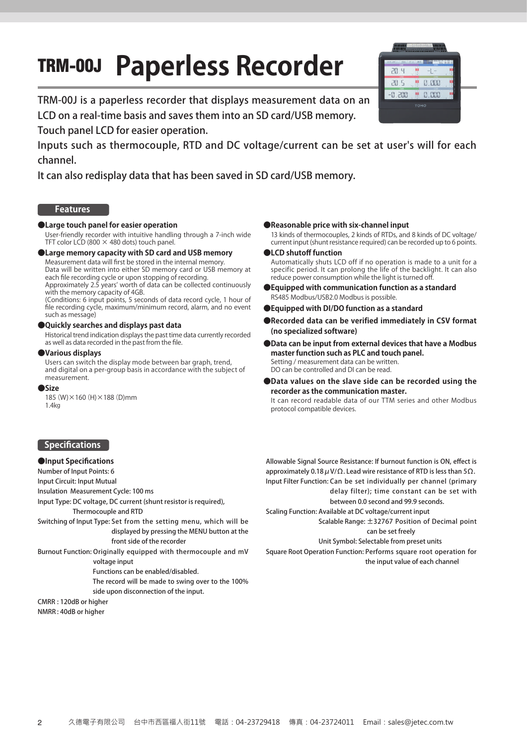# TRM-00J **Paperless Recorder**



TRM-00J is a paperless recorder that displays measurement data on an LCD on a real-time basis and saves them into an SD card/USB memory.

Touch panel LCD for easier operation.

Inputs such as thermocouple, RTD and DC voltage/current can be set at user's will for each channel.

It can also redisplay data that has been saved in SD card/USB memory.

#### **Features**

#### **●Large touch panel for easier operation**

User-friendly recorder with intuitive handling through a 7-inch wide TFT color LCD (800  $\times$  480 dots) touch panel.

#### **●Large memory capacity with SD card and USB memory**

Measurement data will first be stored in the internal memory. Data will be written into either SD memory card or USB memory at each file recording cycle or upon stopping of recording.

Approximately 2.5 years' worth of data can be collected continuously with the memory capacity of 4GB.

(Conditions: 6 input points, 5 seconds of data record cycle, 1 hour of file recording cycle, maximum/minimum record, alarm, and no event such as message)

#### **●Quickly searches and displays past data**

Historical trend indication displays the past time data currently recorded as well as data recorded in the past from the file.

#### **●Various displays**

Users can switch the display mode between bar graph, trend, and digital on a per-group basis in accordance with the subject of measurement.

#### **●Size**

185(W)×160(H)×188(D)mm 1.4㎏

#### **●Reasonable price with six-channel input**

13 kinds of thermocouples, 2 kinds of RTDs, and 8 kinds of DC voltage/ current input (shunt resistance required) can be recorded up to 6 points.

**●LCD shutoff function**

Automatically shuts LCD off if no operation is made to a unit for a specific period. It can prolong the life of the backlight. It can also reduce power consumption while the light is turned off

- **●Equipped with communication function as a standard** RS485 Modbus/USB2.0 Modbus is possible.
- **●Equipped with DI/DO function as a standard**
- **●Recorded data can be verified immediately in CSV format (no specialized software)**
- **●Data can be input from external devices that have a Modbus master function such as PLC and touch panel.** Setting / measurement data can be written. DO can be controlled and DI can be read.
- **●Data values on the slave side can be recorded using the recorder as the communication master.**

It can record readable data of our TTM series and other Modbus protocol compatible devices.

#### **Specifications**

#### **●Input Specifications**

Number of Input Points: 6

Input Circuit: Input Mutual

Insulation Measurement Cycle: 100 ms

Input Type: DC voltage, DC current (shunt resistor is required),

Thermocouple and RTD

- Switching of Input Type: Set from the setting menu, which will be displayed by pressing the MENU button at the front side of the recorder
- Burnout Function: Originally equipped with thermocouple and mV voltage input

Functions can be enabled/disabled.

The record will be made to swing over to the 100% side upon disconnection of the input.

```
CMRR : 120dB or higher
NMRR : 40dB or higher
```
Allowable Signal Source Resistance: If burnout function is ON, effect is approximately 0.18  $\mu$  V/ $\Omega$ . Lead wire resistance of RTD is less than 5 $\Omega$ . Input Filter Function: Can be set individually per channel (primary delay filter); time constant can be set with between 0.0 second and 99.9 seconds.

Scaling Function: Available at DC voltage/current input Scalable Range: ±32767 Position of Decimal point

can be set freely

Unit Symbol: Selectable from preset units

Square Root Operation Function: Performs square root operation for the input value of each channel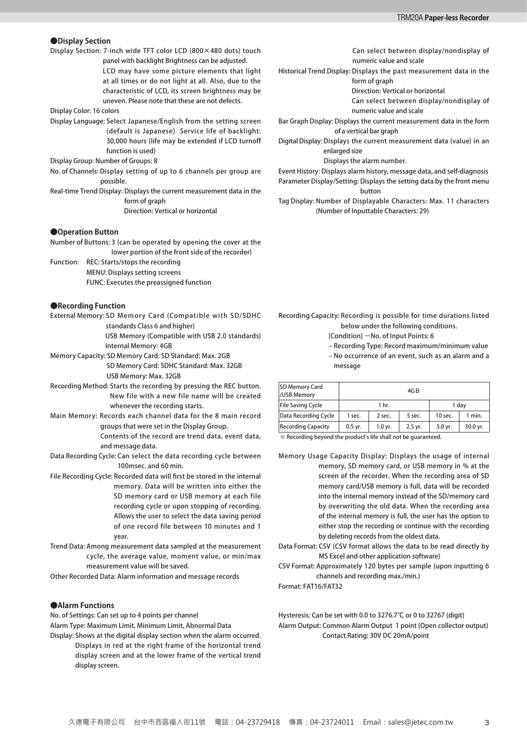#### **●Display Section**

Display Section: 7-inch wide TFT color LCD (800×480 dots) touch

panel with backlight Brightness can be adjusted. LCD may have some picture elements that light at all times or do not light at all. Also, due to the characteristic of LCD, its screen brightness may be uneven. Please note that these are not defects.

Display Color: 16 colors

Display Language: Select Japanese/English from the setting screen (default is Japanese) Service life of backlight: 30,000 hours (life may be extended if LCD turnoff function is used)

Display Group: Number of Groups: 8

No. of Channels: Display setting of up to 6 channels per group are possible.

Real-time Trend Display: Displays the current measurement data in the form of graph Direction: Vertical or horizontal

#### **●Operation Button**

Number of Buttons: 3 (can be operated by opening the cover at the lower portion of the front side of the recorder)

Function: REC: Starts/stops the recording MENU: Displays setting screens FUNC: Executes the preassigned function

#### **●Recording Function**

External Memory: SD Memory Card (Compatible with SD/SDHC standards Class 6 and higher)

> USB Memory (Compatible with USB 2.0 standards) Internal Memory: 4GB

Memory Capacity: SD Memory Card: SD Standard: Max. 2GB SD Memory Card: SDHC Standard: Max. 32GB USB Memory: Max. 32GB

- Recording Method: Starts the recording by pressing the REC button. New file with a new file name will be created whenever the recording starts.
- Main Memory: Records each channel data for the 8 main record groups that were set in the Display Group. Contents of the record are trend data, event data,

Data Recording Cycle: Can select the data recording cycle between 100msec. and 60 min.

and message data.

- File Recording Cycle: Recorded data will first be stored in the internal memory. Data will be written into either the SD memory card or USB memory at each file recording cycle or upon stopping of recording. Allows the user to select the data saving period of one record file between 10 minutes and 1 year.
- Trend Data: Among measurement data sampled at the measurement cycle, the average value, moment value, or min/max measurement value will be saved.
- Other Recorded Data: Alarm information and message records

#### **●Alarm Functions**

No. of Settings: Can set up to 4 points per channel

Alarm Type: Maximum Limit, Minimum Limit, Abnormal Data

Display: Shows at the digital display section when the alarm occurred. Displays in red at the right frame of the horizontal trend display screen and at the lower frame of the vertical trend display screen.

Can select between display/nondisplay of numeric value and scale

Historical Trend Display: Displays the past measurement data in the form of graph

Direction: Vertical or horizontal

Can select between display/nondisplay of numeric value and scale

Bar Graph Display: Displays the current measurement data in the form of a vertical bar graph

Digital Display: Displays the current measurement data (value) in an enlarged size

Displays the alarm number.

Event History: Displays alarm history, message data, and self-diagnosis Parameter Display/Setting: Displays the setting data by the front menu button

Tag Display: Number of Displayable Characters: Max. 11 characters (Number of Inputtable Characters: 29)

Recording Capacity: Recording is possible for time durations listed below under the following conditions.

- [Condition] -No. of Input Points: 6
- Recording Type: Record maximum/minimum value – No occurrence of an event, such as an alarm and a message

| <b>SD Memory Card</b><br>/USB Memory |           |           | 4G B    |           |          |
|--------------------------------------|-----------|-----------|---------|-----------|----------|
| <b>File Saving Cycle</b>             |           | 1 hr.     |         |           | 1 dav    |
| Data Recording Cycle                 | 1 sec.    | 2 sec.    | 5 sec.  | 10 sec.   | 1 min.   |
| <b>Recording Capacity</b>            | $0.5$ yr. | $1.0$ yr. | 2.5 yr. | $5.0$ vr. | 30.0 yr. |

※ Recording beyond the product's life shall not be guaranteed.

- Memory Usage Capacity Display: Displays the usage of internal memory, SD memory card, or USB memory in % at the screen of the recorder. When the recording area of SD memory card/USB memory is full, data will be recorded into the internal memory instead of the SD/memory card by overwriting the old data. When the recording area of the internal memory is full, the user has the option to either stop the recording or continue with the recording by deleting records from the oldest data.
- Data Format: CSV (CSV format allows the data to be read directly by MS Excel and other application software)
- CSV Format: Approximately 120 bytes per sample (upon inputting 6 channels and recording max./min.)

Format: FAT16/FAT32

Hysteresis: Can be set with 0.0 to 3276.7℃ or 0 to 32767 (digit) Alarm Output: Common Alarm Output 1 point (Open collector output) Contact Rating: 30V DC 20mA/point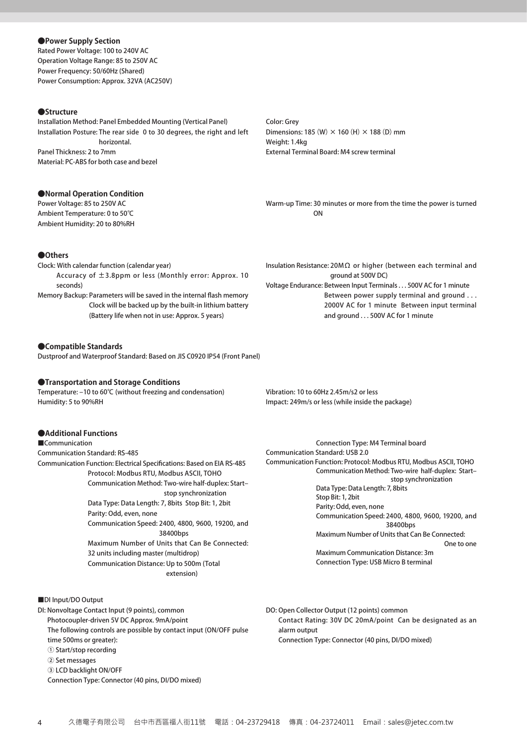Rated Power Voltage: 100 to 240V AC Operation Voltage Range: 85 to 250V AC Power Frequency: 50/60Hz (Shared) Power Consumption: Approx. 32VA (AC250V) **●Power Supply Section**

#### **●Structure**

Installation Method: Panel Embedded Mounting (Vertical Panel) Installation Posture: The rear side 0 to 30 degrees, the right and left horizontal. Panel Thickness: 2 to 7mm Material: PC-ABS for both case and bezel

#### **●Normal Operation Condition**

Power Voltage: 85 to 250V AC Ambient Temperature: 0 to 50℃ Ambient Humidity: 20 to 80%RH

#### Color: Grey Dimensions: 185 (W)  $\times$  160 (H)  $\times$  188 (D) mm Weight: 1.4kg External Terminal Board: M4 screw terminal

Warm-up Time: 30 minutes or more from the time the power is turned ON

- Clock: With calendar function (calendar year) Accuracy of ±3.8ppm or less (Monthly error: Approx. 10 seconds) Memory Backup: Parameters will be saved in the internal flash memory **●Others**
- Clock will be backed up by the built-in lithium battery (Battery life when not in use: Approx. 5 years)

#### **●Compatible Standards**

Dustproof and Waterproof Standard: Based on JIS C0920 IP54 (Front Panel)

#### **●Transportation and Storage Conditions**

Temperature: –10 to 60℃ (without freezing and condensation) Humidity: 5 to 90%RH

#### **●Additional Functions**

■Communication

Communication Standard: RS-485 Communication Function: Electrical Specifications: Based on EIA RS-485 Protocol: Modbus RTU, Modbus ASCII, TOHO Communication Method: Two-wire half-duplex: Start– stop synchronization Data Type: Data Length: 7, 8bits Stop Bit: 1, 2bit Parity: Odd, even, none Communication Speed: 2400, 4800, 9600, 19200, and 38400bps Maximum Number of Units that Can Be Connected: 32 units including master (multidrop) Communication Distance: Up to 500m (Total

extension)

#### ■DI Input/DO Output

- DI: Nonvoltage Contact Input (9 points), common Photocoupler-driven 5V DC Approx. 9mA/point The following controls are possible by contact input (ON/OFF pulse time 500ms or greater): ① Start/stop recording ② Set messages
	- ③ LCD backlight ON/OFF

Connection Type: Connector (40 pins, DI/DO mixed)

Insulation Resistance: 20MΩ or higher (between each terminal and ground at 500V DC) Voltage Endurance: Between Input Terminals . . . 500V AC for 1 minute Between power supply terminal and ground . . .

2000V AC for 1 minute Between input terminal and ground . . . 500V AC for 1 minute

Vibration: 10 to 60Hz 2.45m/s2 or less Impact: 249m/s or less (while inside the package)

Connection Type: M4 Terminal board Communication Standard: USB 2.0 Communication Function: Protocol: Modbus RTU, Modbus ASCII, TOHO Communication Method: Two-wire half-duplex: Start– stop synchronization Data Type: Data Length: 7, 8bits Stop Bit: 1, 2bit Parity: Odd, even, none Communication Speed: 2400, 4800, 9600, 19200, and 38400bps Maximum Number of Units that Can Be Connected: One to one Maximum Communication Distance: 3m Connection Type: USB Micro B terminal

DO: Open Collector Output (12 points) common Contact Rating: 30V DC 20mA/point Can be designated as an alarm output Connection Type: Connector (40 pins, DI/DO mixed)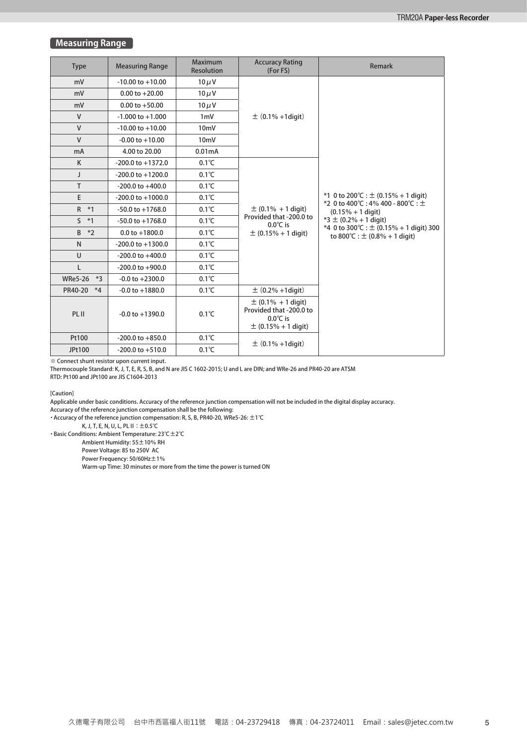#### **Measuring Range**

| <b>Type</b>            | <b>Measuring Range</b> | <b>Maximum</b><br><b>Resolution</b> | <b>Accuracy Rating</b><br>(For FS)                                                                 | <b>Remark</b>                                                                     |  |  |  |  |
|------------------------|------------------------|-------------------------------------|----------------------------------------------------------------------------------------------------|-----------------------------------------------------------------------------------|--|--|--|--|
| mV                     | $-10.00$ to $+10.00$   | $10 \mu V$                          |                                                                                                    |                                                                                   |  |  |  |  |
| mV                     | $0.00$ to $+20.00$     | $10 \mu V$                          |                                                                                                    |                                                                                   |  |  |  |  |
| mV                     | $0.00$ to $+50.00$     | $10 \mu V$                          |                                                                                                    |                                                                                   |  |  |  |  |
| $\mathsf{V}$           | $-1.000$ to $+1.000$   | $1m$ V                              | $\pm$ (0.1% +1digit)                                                                               |                                                                                   |  |  |  |  |
| $\mathsf{V}$           | $-10.00$ to $+10.00$   | 10 <sub>m</sub> V                   |                                                                                                    |                                                                                   |  |  |  |  |
| $\mathsf{V}$           | $-0.00$ to $+10.00$    | $10m$ V                             |                                                                                                    |                                                                                   |  |  |  |  |
| mA                     | 4.00 to 20.00          | 0.01mA                              |                                                                                                    |                                                                                   |  |  |  |  |
| K                      | $-200.0$ to $+1372.0$  | $0.1^{\circ}C$                      |                                                                                                    |                                                                                   |  |  |  |  |
| $\mathbf{I}$           | $-200.0$ to $+1200.0$  | $0.1^{\circ}C$                      |                                                                                                    |                                                                                   |  |  |  |  |
| T                      | $-200.0$ to $+400.0$   | $0.1^{\circ}C$                      |                                                                                                    |                                                                                   |  |  |  |  |
| E                      | $-200.0$ to $+1000.0$  | $0.1^{\circ}C$                      | $\pm$ (0.1% + 1 digit)<br>Provided that -200.0 to<br>$0.0^{\circ}$ C is                            | *1 0 to 200 °C : $\pm$ (0.15% + 1 digit)<br>*2 0 to 400℃:4% 400 - 800℃:±          |  |  |  |  |
| $\mathsf{R}$<br>$*1$   | $-50.0$ to $+1768.0$   | $0.1^{\circ}C$                      |                                                                                                    | $(0.15\% + 1$ digit)<br>$*3 \pm (0.2\% + 1$ digit)                                |  |  |  |  |
| $\mathsf{S}$<br>$*1$   | $-50.0$ to $+1768.0$   | $0.1^{\circ}C$                      |                                                                                                    |                                                                                   |  |  |  |  |
| B<br>$*2$              | $0.0$ to $+1800.0$     | $0.1^{\circ}C$                      | $\pm$ (0.15% + 1 digit)                                                                            | *4 0 to 300 °C : $\pm$ (0.15% + 1 digit) 300<br>to 800°C : $\pm$ (0.8% + 1 digit) |  |  |  |  |
| $\mathsf{N}$           | $-200.0$ to $+1300.0$  | $0.1^{\circ}C$                      |                                                                                                    |                                                                                   |  |  |  |  |
| $\cup$                 | $-200.0$ to $+400.0$   | $0.1^{\circ}C$                      |                                                                                                    |                                                                                   |  |  |  |  |
| L                      | $-200.0$ to $+900.0$   | $0.1^{\circ}C$                      |                                                                                                    |                                                                                   |  |  |  |  |
| <b>WRe5-26</b><br>$*3$ | $-0.0$ to $+2300.0$    | $0.1^{\circ}C$                      |                                                                                                    |                                                                                   |  |  |  |  |
| PR40-20<br>$*4$        | $-0.0$ to $+1880.0$    | $0.1^{\circ}C$                      | $\pm (0.2\% + 1$ digit)                                                                            |                                                                                   |  |  |  |  |
| PL II                  | $-0.0$ to $+1390.0$    | $0.1^{\circ}$ C                     | $\pm$ (0.1% + 1 digit)<br>Provided that -200.0 to<br>$0.0^{\circ}$ C is<br>$\pm$ (0.15% + 1 digit) |                                                                                   |  |  |  |  |
| Pt100                  | $-200.0$ to $+850.0$   | $0.1^{\circ}C$                      |                                                                                                    |                                                                                   |  |  |  |  |
| JPt100                 | $-200.0$ to $+510.0$   | $0.1^{\circ}C$                      | $\pm$ (0.1% +1digit)                                                                               |                                                                                   |  |  |  |  |

※ Connect shunt resistor upon current input.

Thermocouple Standard: K, J, T, E, R, S, B, and N are JIS C 1602-2015; U and L are DIN; and WRe-26 and PR40-20 are ATSM

RTD: Pt100 and JPt100 are JIS C1604-2013

[Caution]

Applicable under basic conditions. Accuracy of the reference junction compensation will not be included in the digital display accuracy. Accuracy of the reference junction compensation shall be the following:

・Accuracy of the reference junction compensation: R, S, B, PR40-20, WRe5-26: ±1℃

K, J, T, E, N, U, L, PL II∶±0.5℃

・Basic Conditions: Ambient Temperature: 23℃±2℃

Ambient Humidity: 55±10% RH

Power Voltage: 85 to 250V AC

Power Frequency: 50/60Hz ±1%

Warm-up Time: 30 minutes or more from the time the power is turned ON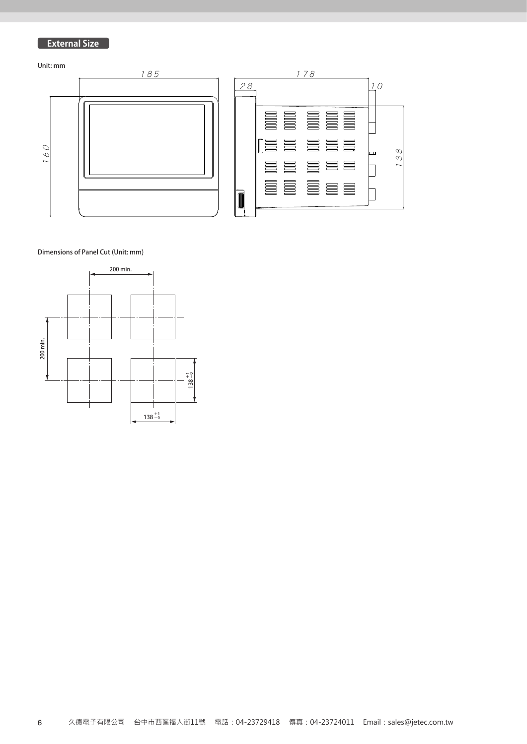# **External Size**



138

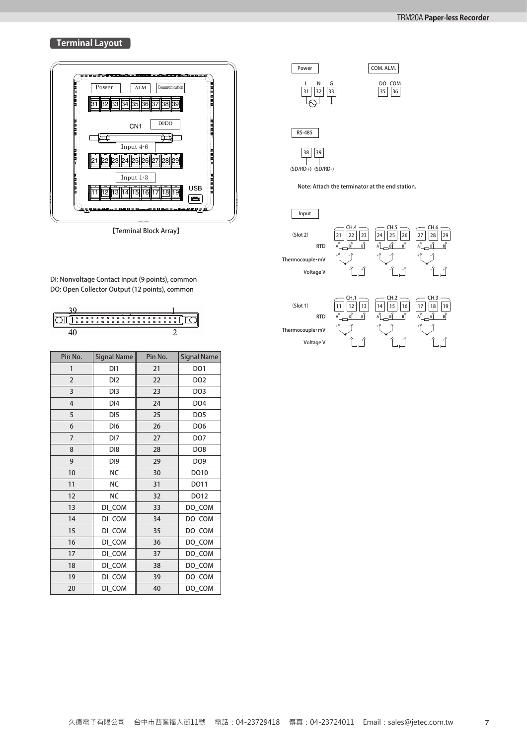#### **Terminal Layout**  $\blacksquare$ + - 熱電対・mV



【Terminal Block Array】

้อ.. พงกิ่งงกัลge contact input (ร points), commo<br>DO: Open Collector Output (12 points), common DI: Nonvoltage Contact Input (9 points), common

| Pin No.        | Signal Name     | Pin No. | <b>Signal Name</b> |
|----------------|-----------------|---------|--------------------|
| 1              | DI1             | 21      | DO1                |
| 2              | DI2             | 22      | DO <sub>2</sub>    |
| 3              | DI3             | 23      | DO <sub>3</sub>    |
| $\overline{4}$ | DI4             | 24      | DO <sub>4</sub>    |
| 5              | DI <sub>5</sub> | 25      | DO <sub>5</sub>    |
| 6              | DI <sub>6</sub> | 26      | DO <sub>6</sub>    |
| $\overline{7}$ | DI7             | 27      | DO <sub>7</sub>    |
| 8              | D <sub>18</sub> | 28      | DO <sub>8</sub>    |
| 9              | DI <sub>9</sub> | 29      | DO9                |
| 10             | <b>NC</b>       | 30      | DO10               |
| 11             | <b>NC</b>       | 31      | DO11               |
| 12             | <b>NC</b>       | 32      | DO12               |
| 13             | DI_COM          | 33      | DO_COM             |
| 14             | DI_COM          | 34      | DO_COM             |
| 15             | DI_COM          | 35      | DO_COM             |
| 16             | DI_COM          | 36      | DO_COM             |
| 17             | DI_COM          | 37      | DO_COM             |
| 18             | DI COM          | 38      | DO_COM             |
| 19             | DI_COM          | 39      | DO_COM             |
| 20             | DI COM          | 40      | DO COM             |







(SD/RD+) (SD/RD-)

Note: Attach the terminator at the end station.

| Input                        |                                                                                                 |                                                                                                  |                                                                                  |
|------------------------------|-------------------------------------------------------------------------------------------------|--------------------------------------------------------------------------------------------------|----------------------------------------------------------------------------------|
| $($ Slot 2 $)$<br><b>RTD</b> | CH.4<br>22<br>23<br>21<br>B<br>$\mathsf{A}^\mathsf{O}$<br>$\overline{\underline{\mathsf{B}}}$ . | CH.5<br>25<br>26<br>24<br>$\mathsf{B}^\heartsuit$<br>$\mathsf{A}^\mathsf{O}$<br>$\overline{\S}$  | CH.6<br>28<br>29<br>27<br>$\mathsf{A}^\mathsf{O}$<br>$\sqrt{\frac{9}{5}}$ .<br>B |
| Thermocouple·mV              | ÷9                                                                                              | ÷۹                                                                                               | ÷۹                                                                               |
| Voltage V                    |                                                                                                 |                                                                                                  | $\overline{\phantom{a}}^{\circ}$                                                 |
|                              |                                                                                                 |                                                                                                  |                                                                                  |
| $($ Slot 1 $)$<br><b>RTD</b> | CH.1<br>13<br>12<br>B<br>$\hat{\mathcal{S}}$<br>$A^{\tilde{Q}}$                                 | CH.2<br>16<br>14<br>15<br>$A^{\tilde{Q}}$<br>$\hat{\mathcal{S}}_{\underline{\mathbf{g}}}$ ,<br>B | CH.3<br>17<br>19<br>18<br>$A^{\circ}$<br>$\mathbf{g}$<br>вP                      |
| Thermocouple·mV              | ÷۴                                                                                              | ÷۹                                                                                               |                                                                                  |
| Voltage V                    | $\mathcal{Q}_-$                                                                                 | c                                                                                                | $\circ$                                                                          |